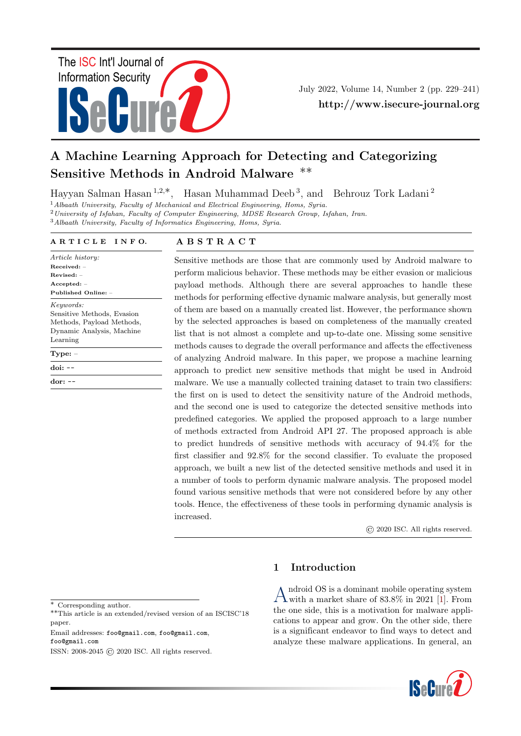

July 2022, Volume 14, Number 2 (pp. 229–241) http://www.isecure-journal.org

# A Machine Learning Approach for Detecting and Categorizing Sensitive Methods in Android Malware ∗∗

Hayyan Salman Hasan <sup>1</sup>,2,∗, Hasan Muhammad Deeb <sup>3</sup> , and Behrouz Tork Ladani <sup>2</sup>

<sup>1</sup> Albaath University, Faculty of Mechanical and Electrical Engineering, Homs, Syria.

<sup>2</sup>University of Isfahan, Faculty of Computer Engineering, MDSE Research Group, Isfahan, Iran.

<sup>3</sup>Albaath University, Faculty of Informatics Engineering, Homs, Syria.

#### A R T I C L E I N F O.

Article history: Received: – Revised: – Accepted: – Published Online: – Keywords: Sensitive Methods, Evasion Methods, Payload Methods, Dynamic Analysis, Machine Learning Type: – doi: - dor: --

# A B S T R A C T

Sensitive methods are those that are commonly used by Android malware to perform malicious behavior. These methods may be either evasion or malicious payload methods. Although there are several approaches to handle these methods for performing effective dynamic malware analysis, but generally most of them are based on a manually created list. However, the performance shown by the selected approaches is based on completeness of the manually created list that is not almost a complete and up-to-date one. Missing some sensitive methods causes to degrade the overall performance and affects the effectiveness of analyzing Android malware. In this paper, we propose a machine learning approach to predict new sensitive methods that might be used in Android malware. We use a manually collected training dataset to train two classifiers: the first on is used to detect the sensitivity nature of the Android methods, and the second one is used to categorize the detected sensitive methods into predefined categories. We applied the proposed approach to a large number of methods extracted from Android API 27. The proposed approach is able to predict hundreds of sensitive methods with accuracy of 94.4% for the first classifier and 92.8% for the second classifier. To evaluate the proposed approach, we built a new list of the detected sensitive methods and used it in a number of tools to perform dynamic malware analysis. The proposed model found various sensitive methods that were not considered before by any other tools. Hence, the effectiveness of these tools in performing dynamic analysis is increased.

© 2020 ISC. All rights reserved.

#### ∗ Corresponding author.

∗∗This article is an extended/revised version of an ISCISC'18 paper.

Email addresses: foo@gmail.com, foo@gmail.com, foo@gmail.com

# 1 Introduction

A ndroid OS is a dominant mobile operating system<br>with a market share of 83.8% in 2021 [\[1\]](#page-10-0). From ndroid OS is a dominant mobile operating system the one side, this is a motivation for malware applications to appear and grow. On the other side, there is a significant endeavor to find ways to detect and analyze these malware applications. In general, an



ISSN: 2008-2045 © 2020 ISC. All rights reserved.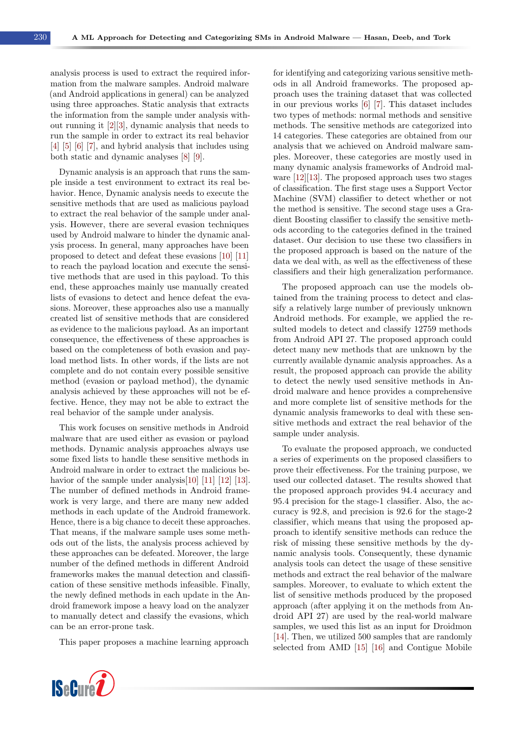analysis process is used to extract the required information from the malware samples. Android malware (and Android applications in general) can be analyzed using three approaches. Static analysis that extracts the information from the sample under analysis without running it [\[2\]](#page-10-1)[\[3\]](#page-10-2), dynamic analysis that needs to run the sample in order to extract its real behavior [\[4\]](#page-10-3) [\[5\]](#page-10-4) [\[6\]](#page-10-5) [\[7\]](#page-11-0), and hybrid analysis that includes using both static and dynamic analyses [\[8\]](#page-11-1) [\[9\]](#page-11-2).

Dynamic analysis is an approach that runs the sample inside a test environment to extract its real behavior. Hence, Dynamic analysis needs to execute the sensitive methods that are used as malicious payload to extract the real behavior of the sample under analysis. However, there are several evasion techniques used by Android malware to hinder the dynamic analysis process. In general, many approaches have been proposed to detect and defeat these evasions [\[10\]](#page-11-3) [\[11\]](#page-11-4) to reach the payload location and execute the sensitive methods that are used in this payload. To this end, these approaches mainly use manually created lists of evasions to detect and hence defeat the evasions. Moreover, these approaches also use a manually created list of sensitive methods that are considered as evidence to the malicious payload. As an important consequence, the effectiveness of these approaches is based on the completeness of both evasion and payload method lists. In other words, if the lists are not complete and do not contain every possible sensitive method (evasion or payload method), the dynamic analysis achieved by these approaches will not be effective. Hence, they may not be able to extract the real behavior of the sample under analysis.

This work focuses on sensitive methods in Android malware that are used either as evasion or payload methods. Dynamic analysis approaches always use some fixed lists to handle these sensitive methods in Android malware in order to extract the malicious be-havior of the sample under analysis[\[10\]](#page-11-3) [\[11\]](#page-11-4) [\[12\]](#page-11-5) [\[13\]](#page-11-6). The number of defined methods in Android framework is very large, and there are many new added methods in each update of the Android framework. Hence, there is a big chance to deceit these approaches. That means, if the malware sample uses some methods out of the lists, the analysis process achieved by these approaches can be defeated. Moreover, the large number of the defined methods in different Android frameworks makes the manual detection and classification of these sensitive methods infeasible. Finally, the newly defined methods in each update in the Android framework impose a heavy load on the analyzer to manually detect and classify the evasions, which can be an error-prone task.

This paper proposes a machine learning approach



for identifying and categorizing various sensitive methods in all Android frameworks. The proposed approach uses the training dataset that was collected in our previous works [\[6\]](#page-10-5) [\[7\]](#page-11-0). This dataset includes two types of methods: normal methods and sensitive methods. The sensitive methods are categorized into 14 categories. These categories are obtained from our analysis that we achieved on Android malware samples. Moreover, these categories are mostly used in many dynamic analysis frameworks of Android malware [\[12\]](#page-11-5)[\[13\]](#page-11-6). The proposed approach uses two stages of classification. The first stage uses a Support Vector Machine (SVM) classifier to detect whether or not the method is sensitive. The second stage uses a Gradient Boosting classifier to classify the sensitive methods according to the categories defined in the trained dataset. Our decision to use these two classifiers in the proposed approach is based on the nature of the data we deal with, as well as the effectiveness of these classifiers and their high generalization performance.

The proposed approach can use the models obtained from the training process to detect and classify a relatively large number of previously unknown Android methods. For example, we applied the resulted models to detect and classify 12759 methods from Android API 27. The proposed approach could detect many new methods that are unknown by the currently available dynamic analysis approaches. As a result, the proposed approach can provide the ability to detect the newly used sensitive methods in Android malware and hence provides a comprehensive and more complete list of sensitive methods for the dynamic analysis frameworks to deal with these sensitive methods and extract the real behavior of the sample under analysis.

To evaluate the proposed approach, we conducted a series of experiments on the proposed classifiers to prove their effectiveness. For the training purpose, we used our collected dataset. The results showed that the proposed approach provides 94.4 accuracy and 95.4 precision for the stage-1 classifier. Also, the accuracy is 92.8, and precision is 92.6 for the stage-2 classifier, which means that using the proposed approach to identify sensitive methods can reduce the risk of missing these sensitive methods by the dynamic analysis tools. Consequently, these dynamic analysis tools can detect the usage of these sensitive methods and extract the real behavior of the malware samples. Moreover, to evaluate to which extent the list of sensitive methods produced by the proposed approach (after applying it on the methods from Android API 27) are used by the real-world malware samples, we used this list as an input for Droidmon [\[14\]](#page-11-7). Then, we utilized 500 samples that are randomly selected from AMD [\[15\]](#page-11-8) [\[16\]](#page-11-9) and Contigue Mobile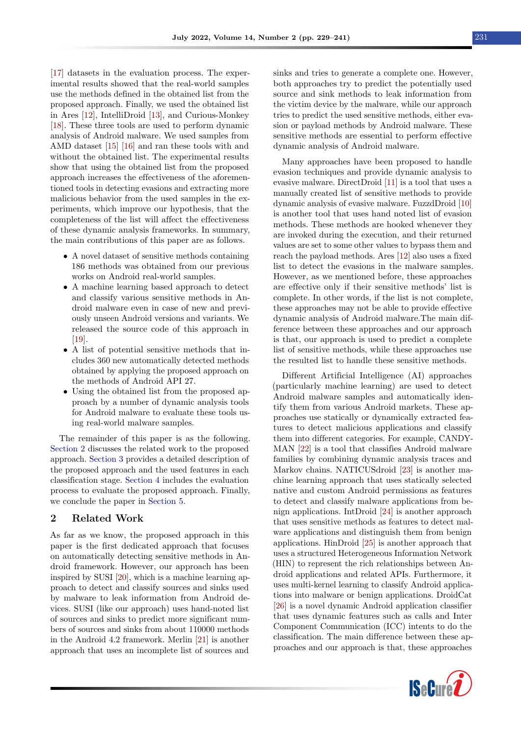[\[17\]](#page-11-10) datasets in the evaluation process. The experimental results showed that the real-world samples use the methods defined in the obtained list from the proposed approach. Finally, we used the obtained list in Ares [\[12\]](#page-11-5), IntelliDroid [\[13\]](#page-11-6), and Curious-Monkey [\[18\]](#page-11-11). These three tools are used to perform dynamic analysis of Android malware. We used samples from AMD dataset [\[15\]](#page-11-8) [\[16\]](#page-11-9) and ran these tools with and without the obtained list. The experimental results show that using the obtained list from the proposed approach increases the effectiveness of the aforementioned tools in detecting evasions and extracting more malicious behavior from the used samples in the experiments, which improve our hypothesis, that the completeness of the list will affect the effectiveness of these dynamic analysis frameworks. In summary, the main contributions of this paper are as follows.

- A novel dataset of sensitive methods containing 186 methods was obtained from our previous works on Android real-world samples.
- A machine learning based approach to detect and classify various sensitive methods in Android malware even in case of new and previously unseen Android versions and variants. We released the source code of this approach in [\[19\]](#page-11-12).
- A list of potential sensitive methods that includes 360 new automatically detected methods obtained by applying the proposed approach on the methods of Android API 27.
- Using the obtained list from the proposed approach by a number of dynamic analysis tools for Android malware to evaluate these tools using real-world malware samples.

The remainder of this paper is as the following. [Section 2](#page-2-0) discusses the related work to the proposed approach. [Section 3](#page-3-0) provides a detailed description of the proposed approach and the used features in each classification stage. [Section 4](#page-6-0) includes the evaluation process to evaluate the proposed approach. Finally, we conclude the paper in [Section 5.](#page-10-6)

# <span id="page-2-0"></span>2 Related Work

As far as we know, the proposed approach in this paper is the first dedicated approach that focuses on automatically detecting sensitive methods in Android framework. However, our approach has been inspired by SUSI [\[20\]](#page-11-13), which is a machine learning approach to detect and classify sources and sinks used by malware to leak information from Android devices. SUSI (like our approach) uses hand-noted list of sources and sinks to predict more significant numbers of sources and sinks from about 110000 methods in the Android 4.2 framework. Merlin [\[21\]](#page-11-14) is another approach that uses an incomplete list of sources and

sinks and tries to generate a complete one. However, both approaches try to predict the potentially used source and sink methods to leak information from the victim device by the malware, while our approach tries to predict the used sensitive methods, either evasion or payload methods by Android malware. These sensitive methods are essential to perform effective dynamic analysis of Android malware.

Many approaches have been proposed to handle evasion techniques and provide dynamic analysis to evasive malware. DirectDroid [\[11\]](#page-11-4) is a tool that uses a manually created list of sensitive methods to provide dynamic analysis of evasive malware. FuzzdDroid [\[10\]](#page-11-3) is another tool that uses hand noted list of evasion methods. These methods are hooked whenever they are invoked during the execution, and their returned values are set to some other values to bypass them and reach the payload methods. Ares [\[12\]](#page-11-5) also uses a fixed list to detect the evasions in the malware samples. However, as we mentioned before, these approaches are effective only if their sensitive methods' list is complete. In other words, if the list is not complete, these approaches may not be able to provide effective dynamic analysis of Android malware.The main difference between these approaches and our approach is that, our approach is used to predict a complete list of sensitive methods, while these approaches use the resulted list to handle these sensitive methods.

Different Artificial Intelligence (AI) approaches (particularly machine learning) are used to detect Android malware samples and automatically identify them from various Android markets. These approaches use statically or dynamically extracted features to detect malicious applications and classify them into different categories. For example, CANDY-MAN [\[22\]](#page-11-15) is a tool that classifies Android malware families by combining dynamic analysis traces and Markov chains. NATICUSdroid [\[23\]](#page-11-16) is another machine learning approach that uses statically selected native and custom Android permissions as features to detect and classify malware applications from benign applications. IntDroid [\[24\]](#page-11-17) is another approach that uses sensitive methods as features to detect malware applications and distinguish them from benign applications. HinDroid [\[25\]](#page-11-18) is another approach that uses a structured Heterogeneous Information Network (HIN) to represent the rich relationships between Android applications and related APIs. Furthermore, it uses multi-kernel learning to classify Android applications into malware or benign applications. DroidCat [\[26\]](#page-11-19) is a novel dynamic Android application classifier that uses dynamic features such as calls and Inter Component Communication (ICC) intents to do the classification. The main difference between these approaches and our approach is that, these approaches

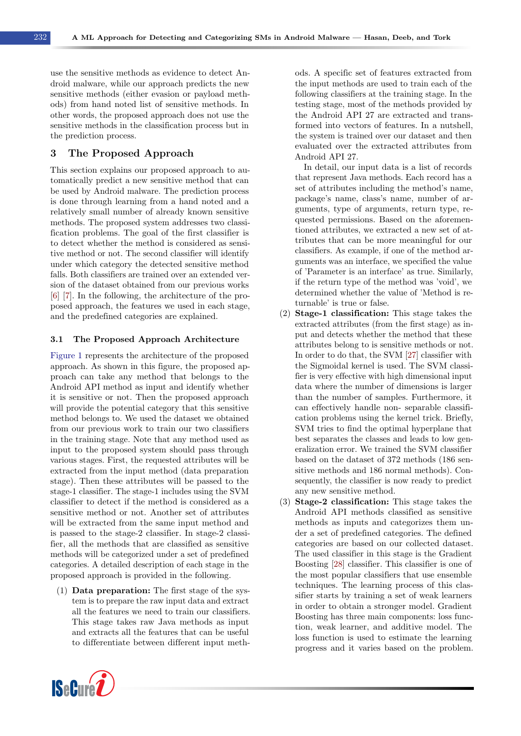use the sensitive methods as evidence to detect Android malware, while our approach predicts the new sensitive methods (either evasion or payload methods) from hand noted list of sensitive methods. In other words, the proposed approach does not use the sensitive methods in the classification process but in the prediction process.

# <span id="page-3-0"></span>3 The Proposed Approach

This section explains our proposed approach to automatically predict a new sensitive method that can be used by Android malware. The prediction process is done through learning from a hand noted and a relatively small number of already known sensitive methods. The proposed system addresses two classification problems. The goal of the first classifier is to detect whether the method is considered as sensitive method or not. The second classifier will identify under which category the detected sensitive method falls. Both classifiers are trained over an extended version of the dataset obtained from our previous works [\[6\]](#page-10-5) [\[7\]](#page-11-0). In the following, the architecture of the proposed approach, the features we used in each stage, and the predefined categories are explained.

#### 3.1 The Proposed Approach Architecture

[Figure 1](#page-4-0) represents the architecture of the proposed approach. As shown in this figure, the proposed approach can take any method that belongs to the Android API method as input and identify whether it is sensitive or not. Then the proposed approach will provide the potential category that this sensitive method belongs to. We used the dataset we obtained from our previous work to train our two classifiers in the training stage. Note that any method used as input to the proposed system should pass through various stages. First, the requested attributes will be extracted from the input method (data preparation stage). Then these attributes will be passed to the stage-1 classifier. The stage-1 includes using the SVM classifier to detect if the method is considered as a sensitive method or not. Another set of attributes will be extracted from the same input method and is passed to the stage-2 classifier. In stage-2 classifier, all the methods that are classified as sensitive methods will be categorized under a set of predefined categories. A detailed description of each stage in the proposed approach is provided in the following.

(1) Data preparation: The first stage of the system is to prepare the raw input data and extract all the features we need to train our classifiers. This stage takes raw Java methods as input and extracts all the features that can be useful to differentiate between different input meth-

ods. A specific set of features extracted from the input methods are used to train each of the following classifiers at the training stage. In the testing stage, most of the methods provided by the Android API 27 are extracted and transformed into vectors of features. In a nutshell, the system is trained over our dataset and then evaluated over the extracted attributes from Android API 27.

In detail, our input data is a list of records that represent Java methods. Each record has a set of attributes including the method's name, package's name, class's name, number of arguments, type of arguments, return type, requested permissions. Based on the aforementioned attributes, we extracted a new set of attributes that can be more meaningful for our classifiers. As example, if one of the method arguments was an interface, we specified the value of 'Parameter is an interface' as true. Similarly, if the return type of the method was 'void', we determined whether the value of 'Method is returnable' is true or false.

- (2) Stage-1 classification: This stage takes the extracted attributes (from the first stage) as input and detects whether the method that these attributes belong to is sensitive methods or not. In order to do that, the SVM [\[27\]](#page-11-20) classifier with the Sigmoidal kernel is used. The SVM classifier is very effective with high dimensional input data where the number of dimensions is larger than the number of samples. Furthermore, it can effectively handle non- separable classification problems using the kernel trick. Briefly, SVM tries to find the optimal hyperplane that best separates the classes and leads to low generalization error. We trained the SVM classifier based on the dataset of 372 methods (186 sensitive methods and 186 normal methods). Consequently, the classifier is now ready to predict any new sensitive method.
- (3) Stage-2 classification: This stage takes the Android API methods classified as sensitive methods as inputs and categorizes them under a set of predefined categories. The defined categories are based on our collected dataset. The used classifier in this stage is the Gradient Boosting [\[28\]](#page-11-21) classifier. This classifier is one of the most popular classifiers that use ensemble techniques. The learning process of this classifier starts by training a set of weak learners in order to obtain a stronger model. Gradient Boosting has three main components: loss function, weak learner, and additive model. The loss function is used to estimate the learning progress and it varies based on the problem.

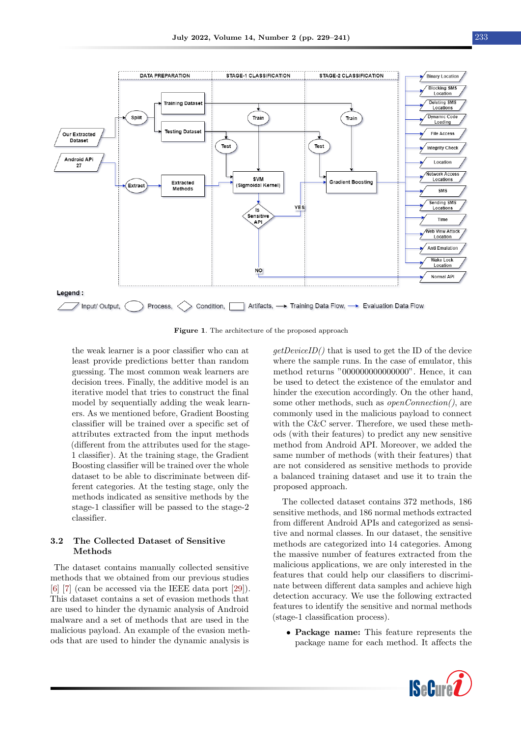<span id="page-4-0"></span>

Figure 1. The architecture of the proposed approach

the weak learner is a poor classifier who can at least provide predictions better than random guessing. The most common weak learners are decision trees. Finally, the additive model is an iterative model that tries to construct the final model by sequentially adding the weak learners. As we mentioned before, Gradient Boosting classifier will be trained over a specific set of attributes extracted from the input methods (different from the attributes used for the stage-1 classifier). At the training stage, the Gradient Boosting classifier will be trained over the whole dataset to be able to discriminate between different categories. At the testing stage, only the methods indicated as sensitive methods by the stage-1 classifier will be passed to the stage-2 classifier.

# 3.2 The Collected Dataset of Sensitive Methods

The dataset contains manually collected sensitive methods that we obtained from our previous studies [\[6\]](#page-10-5) [\[7\]](#page-11-0) (can be accessed via the IEEE data port [\[29\]](#page-11-22)). This dataset contains a set of evasion methods that are used to hinder the dynamic analysis of Android malware and a set of methods that are used in the malicious payload. An example of the evasion methods that are used to hinder the dynamic analysis is  $getDeviceID()$  that is used to get the ID of the device where the sample runs. In the case of emulator, this method returns "000000000000000". Hence, it can be used to detect the existence of the emulator and hinder the execution accordingly. On the other hand, some other methods, such as *openConnection()*, are commonly used in the malicious payload to connect with the C&C server. Therefore, we used these methods (with their features) to predict any new sensitive method from Android API. Moreover, we added the same number of methods (with their features) that are not considered as sensitive methods to provide a balanced training dataset and use it to train the proposed approach.

The collected dataset contains 372 methods, 186 sensitive methods, and 186 normal methods extracted from different Android APIs and categorized as sensitive and normal classes. In our dataset, the sensitive methods are categorized into 14 categories. Among the massive number of features extracted from the malicious applications, we are only interested in the features that could help our classifiers to discriminate between different data samples and achieve high detection accuracy. We use the following extracted features to identify the sensitive and normal methods (stage-1 classification process).

• Package name: This feature represents the package name for each method. It affects the

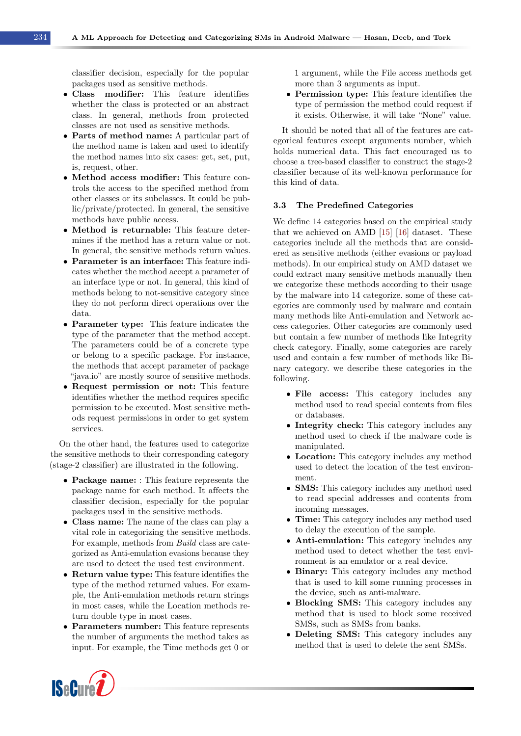classifier decision, especially for the popular packages used as sensitive methods.

- Class modifier: This feature identifies whether the class is protected or an abstract class. In general, methods from protected classes are not used as sensitive methods.
- Parts of method name: A particular part of the method name is taken and used to identify the method names into six cases: get, set, put, is, request, other.
- Method access modifier: This feature controls the access to the specified method from other classes or its subclasses. It could be public/private/protected. In general, the sensitive methods have public access.
- Method is returnable: This feature determines if the method has a return value or not. In general, the sensitive methods return values.
- Parameter is an interface: This feature indicates whether the method accept a parameter of an interface type or not. In general, this kind of methods belong to not-sensitive category since they do not perform direct operations over the data.
- Parameter type: This feature indicates the type of the parameter that the method accept. The parameters could be of a concrete type or belong to a specific package. For instance, the methods that accept parameter of package "java.io" are mostly source of sensitive methods.
- Request permission or not: This feature identifies whether the method requires specific permission to be executed. Most sensitive methods request permissions in order to get system services.

On the other hand, the features used to categorize the sensitive methods to their corresponding category (stage-2 classifier) are illustrated in the following.

- Package name: : This feature represents the package name for each method. It affects the classifier decision, especially for the popular packages used in the sensitive methods.
- Class name: The name of the class can play a vital role in categorizing the sensitive methods. For example, methods from Build class are categorized as Anti-emulation evasions because they are used to detect the used test environment.
- Return value type: This feature identifies the type of the method returned values. For example, the Anti-emulation methods return strings in most cases, while the Location methods return double type in most cases.
- Parameters number: This feature represents the number of arguments the method takes as input. For example, the Time methods get 0 or

1 argument, while the File access methods get more than 3 arguments as input.

• Permission type: This feature identifies the type of permission the method could request if it exists. Otherwise, it will take "None" value.

It should be noted that all of the features are categorical features except arguments number, which holds numerical data. This fact encouraged us to choose a tree-based classifier to construct the stage-2 classifier because of its well-known performance for this kind of data.

#### 3.3 The Predefined Categories

We define 14 categories based on the empirical study that we achieved on AMD [\[15\]](#page-11-8) [\[16\]](#page-11-9) dataset. These categories include all the methods that are considered as sensitive methods (either evasions or payload methods). In our empirical study on AMD dataset we could extract many sensitive methods manually then we categorize these methods according to their usage by the malware into 14 categorize. some of these categories are commonly used by malware and contain many methods like Anti-emulation and Network access categories. Other categories are commonly used but contain a few number of methods like Integrity check category. Finally, some categories are rarely used and contain a few number of methods like Binary category. we describe these categories in the following.

- File access: This category includes any method used to read special contents from files or databases.
- Integrity check: This category includes any method used to check if the malware code is manipulated.
- Location: This category includes any method used to detect the location of the test environment.
- **SMS:** This category includes any method used to read special addresses and contents from incoming messages.
- Time: This category includes any method used to delay the execution of the sample.
- Anti-emulation: This category includes any method used to detect whether the test environment is an emulator or a real device.
- Binary: This category includes any method that is used to kill some running processes in the device, such as anti-malware.
- Blocking SMS: This category includes any method that is used to block some received SMSs, such as SMSs from banks.
- Deleting SMS: This category includes any method that is used to delete the sent SMSs.

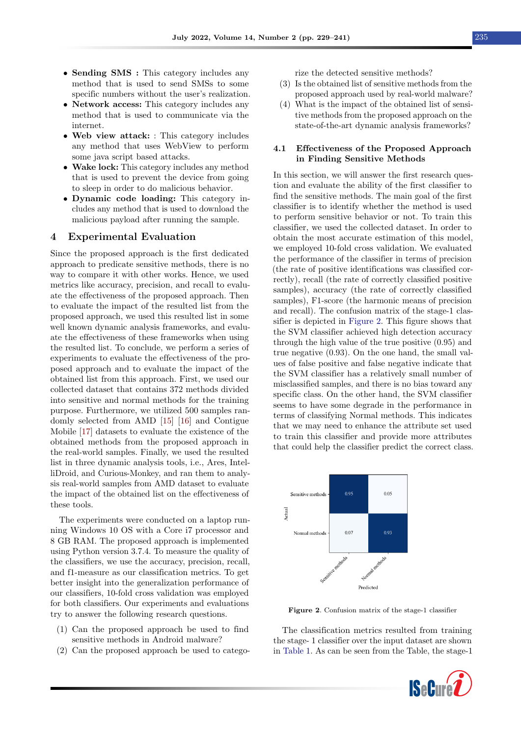- Sending SMS : This category includes any method that is used to send SMSs to some specific numbers without the user's realization.
- Network access: This category includes any method that is used to communicate via the internet.
- Web view attack: : This category includes any method that uses WebView to perform some java script based attacks.
- Wake lock: This category includes any method that is used to prevent the device from going to sleep in order to do malicious behavior.
- Dynamic code loading: This category includes any method that is used to download the malicious payload after running the sample.

#### <span id="page-6-0"></span>4 Experimental Evaluation

Since the proposed approach is the first dedicated approach to predicate sensitive methods, there is no way to compare it with other works. Hence, we used metrics like accuracy, precision, and recall to evaluate the effectiveness of the proposed approach. Then to evaluate the impact of the resulted list from the proposed approach, we used this resulted list in some well known dynamic analysis frameworks, and evaluate the effectiveness of these frameworks when using the resulted list. To conclude, we perform a series of experiments to evaluate the effectiveness of the proposed approach and to evaluate the impact of the obtained list from this approach. First, we used our collected dataset that contains 372 methods divided into sensitive and normal methods for the training purpose. Furthermore, we utilized 500 samples randomly selected from AMD [\[15\]](#page-11-8) [\[16\]](#page-11-9) and Contigue Mobile [\[17\]](#page-11-10) datasets to evaluate the existence of the obtained methods from the proposed approach in the real-world samples. Finally, we used the resulted list in three dynamic analysis tools, i.e., Ares, IntelliDroid, and Curious-Monkey, and ran them to analysis real-world samples from AMD dataset to evaluate the impact of the obtained list on the effectiveness of these tools.

The experiments were conducted on a laptop running Windows 10 OS with a Core i7 processor and 8 GB RAM. The proposed approach is implemented using Python version 3.7.4. To measure the quality of the classifiers, we use the accuracy, precision, recall, and f1-measure as our classification metrics. To get better insight into the generalization performance of our classifiers, 10-fold cross validation was employed for both classifiers. Our experiments and evaluations try to answer the following research questions.

- (1) Can the proposed approach be used to find sensitive methods in Android malware?
- (2) Can the proposed approach be used to catego-

rize the detected sensitive methods?

- (3) Is the obtained list of sensitive methods from the proposed approach used by real-world malware?
- (4) What is the impact of the obtained list of sensitive methods from the proposed approach on the state-of-the-art dynamic analysis frameworks?

#### 4.1 Effectiveness of the Proposed Approach in Finding Sensitive Methods

In this section, we will answer the first research question and evaluate the ability of the first classifier to find the sensitive methods. The main goal of the first classifier is to identify whether the method is used to perform sensitive behavior or not. To train this classifier, we used the collected dataset. In order to obtain the most accurate estimation of this model, we employed 10-fold cross validation. We evaluated the performance of the classifier in terms of precision (the rate of positive identifications was classified correctly), recall (the rate of correctly classified positive samples), accuracy (the rate of correctly classified samples), F1-score (the harmonic means of precision and recall). The confusion matrix of the stage-1 classifier is depicted in [Figure 2.](#page-6-1) This figure shows that the SVM classifier achieved high detection accuracy through the high value of the true positive (0.95) and true negative (0.93). On the one hand, the small values of false positive and false negative indicate that the SVM classifier has a relatively small number of misclassified samples, and there is no bias toward any specific class. On the other hand, the SVM classifier seems to have some degrade in the performance in terms of classifying Normal methods. This indicates that we may need to enhance the attribute set used to train this classifier and provide more attributes that could help the classifier predict the correct class.

<span id="page-6-1"></span>

Figure 2. Confusion matrix of the stage-1 classifier

The classification metrics resulted from training the stage- 1 classifier over the input dataset are shown in [Table 1.](#page-7-0) As can be seen from the Table, the stage-1

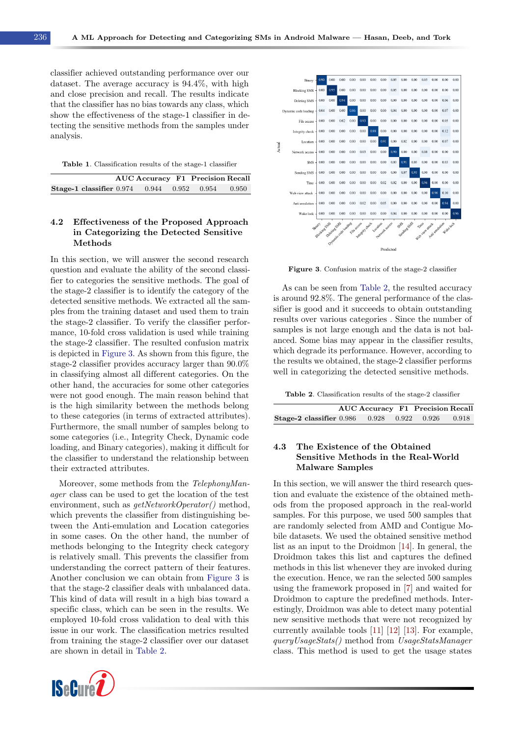classifier achieved outstanding performance over our dataset. The average accuracy is 94.4%, with high and close precision and recall. The results indicate that the classifier has no bias towards any class, which show the effectiveness of the stage-1 classifier in detecting the sensitive methods from the samples under analysis.

<span id="page-7-0"></span>Table 1. Classification results of the stage-1 classifier

|                                                         | <b>AUC Accuracy F1 Precision Recall</b> |  |  |
|---------------------------------------------------------|-----------------------------------------|--|--|
| <b>Stage-1 classifier</b> 0.974 0.944 0.952 0.954 0.950 |                                         |  |  |

### 4.2 Effectiveness of the Proposed Approach in Categorizing the Detected Sensitive Methods

In this section, we will answer the second research question and evaluate the ability of the second classifier to categories the sensitive methods. The goal of the stage-2 classifier is to identify the category of the detected sensitive methods. We extracted all the samples from the training dataset and used them to train the stage-2 classifier. To verify the classifier performance, 10-fold cross validation is used while training the stage-2 classifier. The resulted confusion matrix is depicted in [Figure 3.](#page-7-1) As shown from this figure, the stage-2 classifier provides accuracy larger than 90.0% in classifying almost all different categories. On the other hand, the accuracies for some other categories were not good enough. The main reason behind that is the high similarity between the methods belong to these categories (in terms of extracted attributes). Furthermore, the small number of samples belong to some categories (i.e., Integrity Check, Dynamic code loading, and Binary categories), making it difficult for the classifier to understand the relationship between their extracted attributes.

Moreover, some methods from the TelephonyManager class can be used to get the location of the test environment, such as  $getNetworkOperator()$  method, which prevents the classifier from distinguishing between the Anti-emulation and Location categories in some cases. On the other hand, the number of methods belonging to the Integrity check category is relatively small. This prevents the classifier from understanding the correct pattern of their features. Another conclusion we can obtain from [Figure 3](#page-7-1) is that the stage-2 classifier deals with unbalanced data. This kind of data will result in a high bias toward a specific class, which can be seen in the results. We employed 10-fold cross validation to deal with this issue in our work. The classification metrics resulted from training the stage-2 classifier over our dataset are shown in detail in [Table 2.](#page-7-2)



<span id="page-7-1"></span>

Figure 3. Confusion matrix of the stage-2 classifier

As can be seen from [Table 2,](#page-7-2) the resulted accuracy is around 92.8%. The general performance of the classifier is good and it succeeds to obtain outstanding results over various categories . Since the number of samples is not large enough and the data is not balanced. Some bias may appear in the classifier results, which degrade its performance. However, according to the results we obtained, the stage-2 classifier performs well in categorizing the detected sensitive methods.

<span id="page-7-2"></span>Table 2. Classification results of the stage-2 classifier

|                                                         | <b>AUC Accuracy F1 Precision Recall</b> |  |  |
|---------------------------------------------------------|-----------------------------------------|--|--|
| <b>Stage-2 classifier</b> 0.986 0.928 0.922 0.926 0.918 |                                         |  |  |

# 4.3 The Existence of the Obtained Sensitive Methods in the Real-World Malware Samples

In this section, we will answer the third research question and evaluate the existence of the obtained methods from the proposed approach in the real-world samples. For this purpose, we used 500 samples that are randomly selected from AMD and Contigue Mobile datasets. We used the obtained sensitive method list as an input to the Droidmon [\[14\]](#page-11-7). In general, the Droidmon takes this list and captures the defined methods in this list whenever they are invoked during the execution. Hence, we ran the selected 500 samples using the framework proposed in [\[7\]](#page-11-0) and waited for Droidmon to capture the predefined methods. Interestingly, Droidmon was able to detect many potential new sensitive methods that were not recognized by currently available tools [\[11\]](#page-11-4) [\[12\]](#page-11-5) [\[13\]](#page-11-6). For example, queryUsageStats() method from UsageStatsManager class. This method is used to get the usage states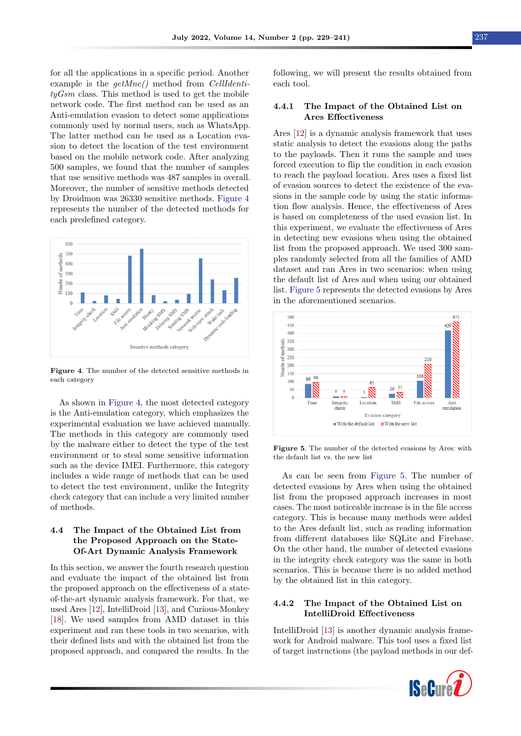for all the applications in a specific period. Another example is the  $getMnc()$  method from *CellIdenti* $tyGsm$  class. This method is used to get the mobile network code. The first method can be used as an Anti-emulation evasion to detect some applications commonly used by normal users, such as WhatsApp. The latter method can be used as a Location evasion to detect the location of the test environment based on the mobile network code. After analyzing 500 samples, we found that the number of samples that use sensitive methods was 487 samples in overall. Moreover, the number of sensitive methods detected by Droidmon was 26330 sensitive methods. [Figure 4](#page-8-0) represents the number of the detected methods for each predefined category.

<span id="page-8-0"></span>

Figure 4. The number of the detected sensitive methods in each category

As shown in [Figure 4,](#page-8-0) the most detected category is the Anti-emulation category, which emphasizes the experimental evaluation we have achieved manually. The methods in this category are commonly used by the malware either to detect the type of the test environment or to steal some sensitive information such as the device IMEI. Furthermore, this category includes a wide range of methods that can be used to detect the test environment, unlike the Integrity check category that can include a very limited number of methods.

# 4.4 The Impact of the Obtained List from the Proposed Approach on the State-Of-Art Dynamic Analysis Framework

In this section, we answer the fourth research question and evaluate the impact of the obtained list from the proposed approach on the effectiveness of a stateof-the-art dynamic analysis framework. For that, we used Ares [\[12\]](#page-11-5), IntelliDroid [\[13\]](#page-11-6), and Curious-Monkey [\[18\]](#page-11-11). We used samples from AMD dataset in this experiment and ran these tools in two scenarios, with their defined lists and with the obtained list from the proposed approach, and compared the results. In the following, we will present the results obtained from each tool.

#### 4.4.1 The Impact of the Obtained List on Ares Effectiveness

Ares [\[12\]](#page-11-5) is a dynamic analysis framework that uses static analysis to detect the evasions along the paths to the payloads. Then it runs the sample and uses forced execution to flip the condition in each evasion to reach the payload location. Ares uses a fixed list of evasion sources to detect the existence of the evasions in the sample code by using the static information flow analysis. Hence, the effectiveness of Ares is based on completeness of the used evasion list. In this experiment, we evaluate the effectiveness of Ares in detecting new evasions when using the obtained list from the proposed approach. We used 300 samples randomly selected from all the families of AMD dataset and ran Ares in two scenarios: when using the default list of Ares and when using our obtained list. [Figure 5](#page-8-1) represents the detected evasions by Ares in the aforementioned scenarios.

<span id="page-8-1"></span>

Figure 5. The number of the detected evasions by Ares: with the default list vs. the new list

As can be seen from [Figure 5.](#page-8-1) The number of detected evasions by Ares when using the obtained list from the proposed approach increases in most cases. The most noticeable increase is in the file access category. This is because many methods were added to the Ares default list, such as reading information from different databases like SQLite and Firebase. On the other hand, the number of detected evasions in the integrity check category was the same in both scenarios. This is because there is no added method by the obtained list in this category.

# 4.4.2 The Impact of the Obtained List on IntelliDroid Effectiveness

IntelliDroid [\[13\]](#page-11-6) is another dynamic analysis framework for Android malware. This tool uses a fixed list of target instructions (the payload methods in our def-

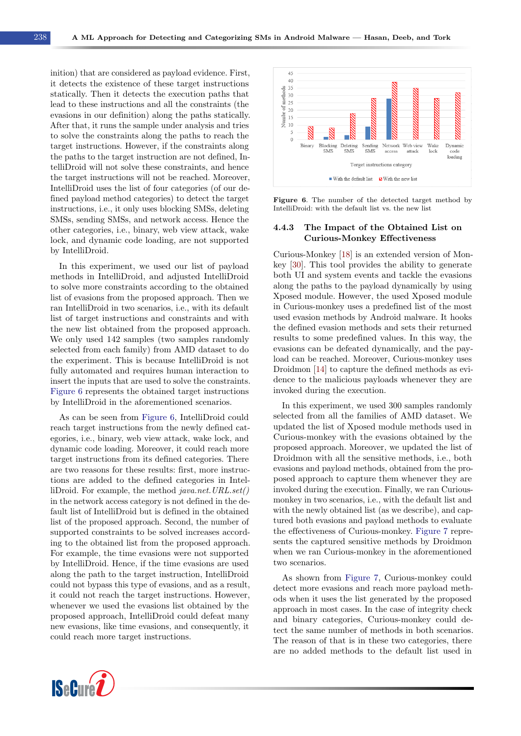inition) that are considered as payload evidence. First, it detects the existence of these target instructions statically. Then it detects the execution paths that lead to these instructions and all the constraints (the evasions in our definition) along the paths statically. After that, it runs the sample under analysis and tries to solve the constraints along the paths to reach the target instructions. However, if the constraints along the paths to the target instruction are not defined, IntelliDroid will not solve these constraints, and hence the target instructions will not be reached. Moreover, IntelliDroid uses the list of four categories (of our defined payload method categories) to detect the target instructions, i.e., it only uses blocking SMSs, deleting SMSs, sending SMSs, and network access. Hence the other categories, i.e., binary, web view attack, wake lock, and dynamic code loading, are not supported by IntelliDroid.

In this experiment, we used our list of payload methods in IntelliDroid, and adjusted IntelliDroid to solve more constraints according to the obtained list of evasions from the proposed approach. Then we ran IntelliDroid in two scenarios, i.e., with its default list of target instructions and constraints and with the new list obtained from the proposed approach. We only used 142 samples (two samples randomly selected from each family) from AMD dataset to do the experiment. This is because IntelliDroid is not fully automated and requires human interaction to insert the inputs that are used to solve the constraints. [Figure 6](#page-9-0) represents the obtained target instructions by IntelliDroid in the aforementioned scenarios.

As can be seen from [Figure 6,](#page-9-0) IntelliDroid could reach target instructions from the newly defined categories, i.e., binary, web view attack, wake lock, and dynamic code loading. Moreover, it could reach more target instructions from its defined categories. There are two reasons for these results: first, more instructions are added to the defined categories in IntelliDroid. For example, the method java.net.URL.set() in the network access category is not defined in the default list of IntelliDroid but is defined in the obtained list of the proposed approach. Second, the number of supported constraints to be solved increases according to the obtained list from the proposed approach. For example, the time evasions were not supported by IntelliDroid. Hence, if the time evasions are used along the path to the target instruction, IntelliDroid could not bypass this type of evasions, and as a result, it could not reach the target instructions. However, whenever we used the evasions list obtained by the proposed approach, IntelliDroid could defeat many new evasions, like time evasions, and consequently, it could reach more target instructions.

<span id="page-9-0"></span>

Figure 6. The number of the detected target method by IntelliDroid: with the default list vs. the new list

### 4.4.3 The Impact of the Obtained List on Curious-Monkey Effectiveness

Curious-Monkey [\[18\]](#page-11-11) is an extended version of Monkey [\[30\]](#page-11-23). This tool provides the ability to generate both UI and system events and tackle the evasions along the paths to the payload dynamically by using Xposed module. However, the used Xposed module in Curious-monkey uses a predefined list of the most used evasion methods by Android malware. It hooks the defined evasion methods and sets their returned results to some predefined values. In this way, the evasions can be defeated dynamically, and the payload can be reached. Moreover, Curious-monkey uses Droidmon [\[14\]](#page-11-7) to capture the defined methods as evidence to the malicious payloads whenever they are invoked during the execution.

In this experiment, we used 300 samples randomly selected from all the families of AMD dataset. We updated the list of Xposed module methods used in Curious-monkey with the evasions obtained by the proposed approach. Moreover, we updated the list of Droidmon with all the sensitive methods, i.e., both evasions and payload methods, obtained from the proposed approach to capture them whenever they are invoked during the execution. Finally, we ran Curiousmonkey in two scenarios, i.e., with the default list and with the newly obtained list (as we describe), and captured both evasions and payload methods to evaluate the effectiveness of Curious-monkey. [Figure 7](#page-10-7) represents the captured sensitive methods by Droidmon when we ran Curious-monkey in the aforementioned two scenarios.

As shown from [Figure 7,](#page-10-7) Curious-monkey could detect more evasions and reach more payload methods when it uses the list generated by the proposed approach in most cases. In the case of integrity check and binary categories, Curious-monkey could detect the same number of methods in both scenarios. The reason of that is in these two categories, there are no added methods to the default list used in

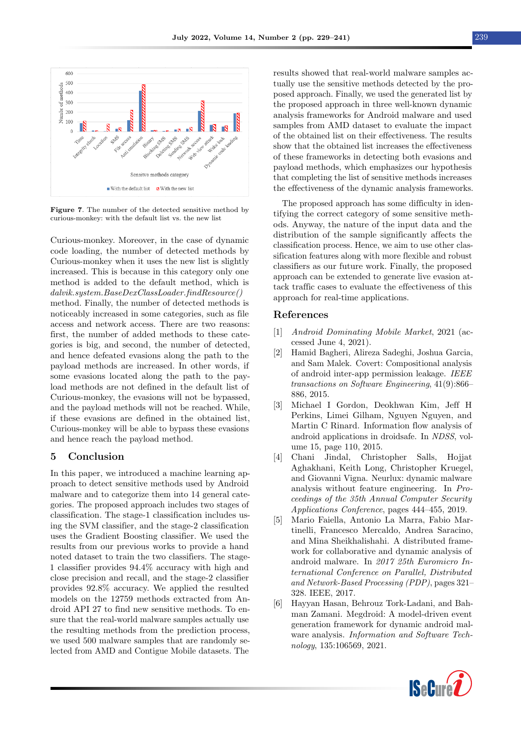<span id="page-10-7"></span>

Figure 7. The number of the detected sensitive method by curious-monkey: with the default list vs. the new list

Curious-monkey. Moreover, in the case of dynamic code loading, the number of detected methods by Curious-monkey when it uses the new list is slightly increased. This is because in this category only one method is added to the default method, which is dalvik.system.BaseDexClassLoader.findResource() method. Finally, the number of detected methods is noticeably increased in some categories, such as file access and network access. There are two reasons: first, the number of added methods to these categories is big, and second, the number of detected, and hence defeated evasions along the path to the payload methods are increased. In other words, if some evasions located along the path to the payload methods are not defined in the default list of Curious-monkey, the evasions will not be bypassed, and the payload methods will not be reached. While, if these evasions are defined in the obtained list, Curious-monkey will be able to bypass these evasions and hence reach the payload method.

# <span id="page-10-6"></span>5 Conclusion

In this paper, we introduced a machine learning approach to detect sensitive methods used by Android malware and to categorize them into 14 general categories. The proposed approach includes two stages of classification. The stage-1 classification includes using the SVM classifier, and the stage-2 classification uses the Gradient Boosting classifier. We used the results from our previous works to provide a hand noted dataset to train the two classifiers. The stage-1 classifier provides 94.4% accuracy with high and close precision and recall, and the stage-2 classifier provides 92.8% accuracy. We applied the resulted models on the 12759 methods extracted from Android API 27 to find new sensitive methods. To ensure that the real-world malware samples actually use the resulting methods from the prediction process, we used 500 malware samples that are randomly selected from AMD and Contigue Mobile datasets. The

results showed that real-world malware samples actually use the sensitive methods detected by the proposed approach. Finally, we used the generated list by the proposed approach in three well-known dynamic analysis frameworks for Android malware and used samples from AMD dataset to evaluate the impact of the obtained list on their effectiveness. The results show that the obtained list increases the effectiveness of these frameworks in detecting both evasions and payload methods, which emphasizes our hypothesis that completing the list of sensitive methods increases the effectiveness of the dynamic analysis frameworks.

The proposed approach has some difficulty in identifying the correct category of some sensitive methods. Anyway, the nature of the input data and the distribution of the sample significantly affects the classification process. Hence, we aim to use other classification features along with more flexible and robust classifiers as our future work. Finally, the proposed approach can be extended to generate live evasion attack traffic cases to evaluate the effectiveness of this approach for real-time applications.

#### References

- <span id="page-10-0"></span>[1] Android Dominating Mobile Market, 2021 (accessed June 4, 2021).
- <span id="page-10-1"></span>[2] Hamid Bagheri, Alireza Sadeghi, Joshua Garcia, and Sam Malek. Covert: Compositional analysis of android inter-app permission leakage. IEEE transactions on Software Engineering, 41(9):866– 886, 2015.
- <span id="page-10-2"></span>[3] Michael I Gordon, Deokhwan Kim, Jeff H Perkins, Limei Gilham, Nguyen Nguyen, and Martin C Rinard. Information flow analysis of android applications in droidsafe. In NDSS, volume 15, page 110, 2015.
- <span id="page-10-3"></span>[4] Chani Jindal, Christopher Salls, Hojjat Aghakhani, Keith Long, Christopher Kruegel, and Giovanni Vigna. Neurlux: dynamic malware analysis without feature engineering. In Proceedings of the 35th Annual Computer Security Applications Conference, pages 444–455, 2019.
- <span id="page-10-4"></span>[5] Mario Faiella, Antonio La Marra, Fabio Martinelli, Francesco Mercaldo, Andrea Saracino, and Mina Sheikhalishahi. A distributed framework for collaborative and dynamic analysis of android malware. In 2017 25th Euromicro International Conference on Parallel, Distributed and Network-Based Processing (PDP), pages 321– 328. IEEE, 2017.
- <span id="page-10-5"></span>[6] Hayyan Hasan, Behrouz Tork-Ladani, and Bahman Zamani. Megdroid: A model-driven event generation framework for dynamic android malware analysis. Information and Software Technology, 135:106569, 2021.

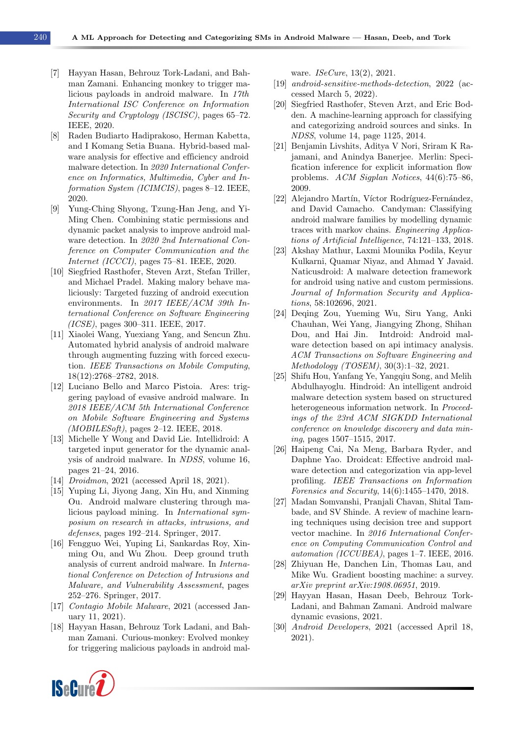- 
- <span id="page-11-0"></span>[7] Hayyan Hasan, Behrouz Tork-Ladani, and Bahman Zamani. Enhancing monkey to trigger malicious payloads in android malware. In 17th International ISC Conference on Information Security and Cryptology (ISCISC), pages 65–72. IEEE, 2020.
- <span id="page-11-1"></span>[8] Raden Budiarto Hadiprakoso, Herman Kabetta, and I Komang Setia Buana. Hybrid-based malware analysis for effective and efficiency android malware detection. In 2020 International Conference on Informatics, Multimedia, Cyber and Information System (ICIMCIS), pages 8–12. IEEE, 2020.
- <span id="page-11-2"></span>[9] Yung-Ching Shyong, Tzung-Han Jeng, and Yi-Ming Chen. Combining static permissions and dynamic packet analysis to improve android malware detection. In 2020 2nd International Conference on Computer Communication and the Internet (ICCCI), pages 75–81. IEEE, 2020.
- <span id="page-11-3"></span>[10] Siegfried Rasthofer, Steven Arzt, Stefan Triller, and Michael Pradel. Making malory behave maliciously: Targeted fuzzing of android execution environments. In 2017 IEEE/ACM 39th International Conference on Software Engineering (ICSE), pages 300–311. IEEE, 2017.
- <span id="page-11-4"></span>[11] Xiaolei Wang, Yuexiang Yang, and Sencun Zhu. Automated hybrid analysis of android malware through augmenting fuzzing with forced execution. IEEE Transactions on Mobile Computing, 18(12):2768–2782, 2018.
- <span id="page-11-5"></span>[12] Luciano Bello and Marco Pistoia. Ares: triggering payload of evasive android malware. In 2018 IEEE/ACM 5th International Conference on Mobile Software Engineering and Systems  $(MOBILESoft)$ , pages 2–12. IEEE, 2018.
- <span id="page-11-6"></span>[13] Michelle Y Wong and David Lie. Intellidroid: A targeted input generator for the dynamic analysis of android malware. In NDSS, volume 16, pages 21–24, 2016.
- <span id="page-11-7"></span>[14] *Droidmon*, 2021 (accessed April 18, 2021).
- <span id="page-11-8"></span>[15] Yuping Li, Jiyong Jang, Xin Hu, and Xinming Ou. Android malware clustering through malicious payload mining. In International symposium on research in attacks, intrusions, and defenses, pages 192–214. Springer, 2017.
- <span id="page-11-9"></span>[16] Fengguo Wei, Yuping Li, Sankardas Roy, Xinming Ou, and Wu Zhou. Deep ground truth analysis of current android malware. In International Conference on Detection of Intrusions and Malware, and Vulnerability Assessment, pages 252–276. Springer, 2017.
- <span id="page-11-10"></span>[17] Contagio Mobile Malware, 2021 (accessed January 11, 2021).
- <span id="page-11-11"></span>[18] Hayyan Hasan, Behrouz Tork Ladani, and Bahman Zamani. Curious-monkey: Evolved monkey for triggering malicious payloads in android mal-

ware. *ISeCure*, 13(2), 2021.

- <span id="page-11-12"></span>[19] android-sensitive-methods-detection, 2022 (accessed March 5, 2022).
- <span id="page-11-13"></span>[20] Siegfried Rasthofer, Steven Arzt, and Eric Bodden. A machine-learning approach for classifying and categorizing android sources and sinks. In NDSS, volume 14, page 1125, 2014.
- <span id="page-11-14"></span>[21] Benjamin Livshits, Aditya V Nori, Sriram K Rajamani, and Anindya Banerjee. Merlin: Specification inference for explicit information flow problems. ACM Sigplan Notices, 44(6):75–86, 2009.
- <span id="page-11-15"></span>[22] Alejandro Martín, Víctor Rodríguez-Fernández, and David Camacho. Candyman: Classifying android malware families by modelling dynamic traces with markov chains. Engineering Applications of Artificial Intelligence, 74:121–133, 2018.
- <span id="page-11-16"></span>[23] Akshay Mathur, Laxmi Mounika Podila, Keyur Kulkarni, Quamar Niyaz, and Ahmad Y Javaid. Naticusdroid: A malware detection framework for android using native and custom permissions. Journal of Information Security and Applications, 58:102696, 2021.
- <span id="page-11-17"></span>[24] Deqing Zou, Yueming Wu, Siru Yang, Anki Chauhan, Wei Yang, Jiangying Zhong, Shihan Dou, and Hai Jin. Intdroid: Android malware detection based on api intimacy analysis. ACM Transactions on Software Engineering and Methodology (TOSEM), 30(3):1–32, 2021.
- <span id="page-11-18"></span>[25] Shifu Hou, Yanfang Ye, Yangqiu Song, and Melih Abdulhayoglu. Hindroid: An intelligent android malware detection system based on structured heterogeneous information network. In Proceedings of the 23rd ACM SIGKDD International conference on knowledge discovery and data mining, pages 1507–1515, 2017.
- <span id="page-11-19"></span>[26] Haipeng Cai, Na Meng, Barbara Ryder, and Daphne Yao. Droidcat: Effective android malware detection and categorization via app-level profiling. IEEE Transactions on Information Forensics and Security, 14(6):1455–1470, 2018.
- <span id="page-11-20"></span>[27] Madan Somvanshi, Pranjali Chavan, Shital Tambade, and SV Shinde. A review of machine learning techniques using decision tree and support vector machine. In 2016 International Conference on Computing Communication Control and automation (ICCUBEA), pages 1–7. IEEE, 2016.
- <span id="page-11-21"></span>[28] Zhiyuan He, Danchen Lin, Thomas Lau, and Mike Wu. Gradient boosting machine: a survey. arXiv preprint arXiv:1908.06951, 2019.
- <span id="page-11-22"></span>[29] Hayyan Hasan, Hasan Deeb, Behrouz Tork-Ladani, and Bahman Zamani. Android malware dynamic evasions, 2021.
- <span id="page-11-23"></span>[30] Android Developers, 2021 (accessed April 18, 2021).